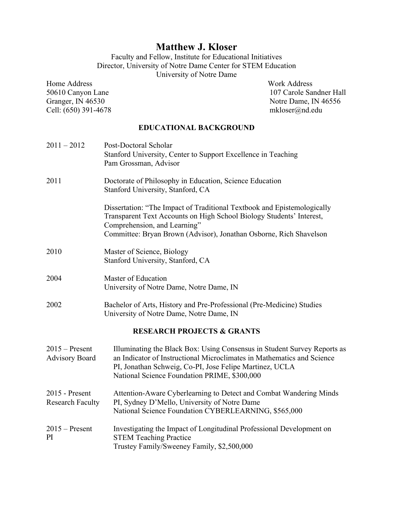# **Matthew J. Kloser**

Faculty and Fellow, Institute for Educational Initiatives Director, University of Notre Dame Center for STEM Education University of Notre Dame

Home Address Work Address Cell: (650) 391-4678 mkloser@nd.edu

50610 Canyon Lane 107 Carole Sandner Hall<br>Granger, IN 46530 Notre Dame, IN 46556 Notre Dame, IN 46556

### **EDUCATIONAL BACKGROUND**

| $2011 - 2012$                             | Post-Doctoral Scholar<br>Stanford University, Center to Support Excellence in Teaching<br>Pam Grossman, Advisor                                                                                                                                               |
|-------------------------------------------|---------------------------------------------------------------------------------------------------------------------------------------------------------------------------------------------------------------------------------------------------------------|
| 2011                                      | Doctorate of Philosophy in Education, Science Education<br>Stanford University, Stanford, CA                                                                                                                                                                  |
|                                           | Dissertation: "The Impact of Traditional Textbook and Epistemologically<br>Transparent Text Accounts on High School Biology Students' Interest,<br>Comprehension, and Learning"<br>Committee: Bryan Brown (Advisor), Jonathan Osborne, Rich Shavelson         |
| 2010                                      | Master of Science, Biology<br>Stanford University, Stanford, CA                                                                                                                                                                                               |
| 2004                                      | Master of Education<br>University of Notre Dame, Notre Dame, IN                                                                                                                                                                                               |
| 2002                                      | Bachelor of Arts, History and Pre-Professional (Pre-Medicine) Studies<br>University of Notre Dame, Notre Dame, IN                                                                                                                                             |
|                                           | <b>RESEARCH PROJECTS &amp; GRANTS</b>                                                                                                                                                                                                                         |
| $2015$ – Present<br><b>Advisory Board</b> | Illuminating the Black Box: Using Consensus in Student Survey Reports as<br>an Indicator of Instructional Microclimates in Mathematics and Science<br>PI, Jonathan Schweig, Co-PI, Jose Felipe Martinez, UCLA<br>National Science Foundation PRIME, \$300,000 |
| 2015 - Present<br><b>Research Faculty</b> | Attention-Aware Cyberlearning to Detect and Combat Wandering Minds<br>PI, Sydney D'Mello, University of Notre Dame<br>National Science Foundation CYBERLEARNING, \$565,000                                                                                    |
| $2015$ – Present<br>PI                    | Investigating the Impact of Longitudinal Professional Development on<br><b>STEM Teaching Practice</b><br>Trustey Family/Sweeney Family, \$2,500,000                                                                                                           |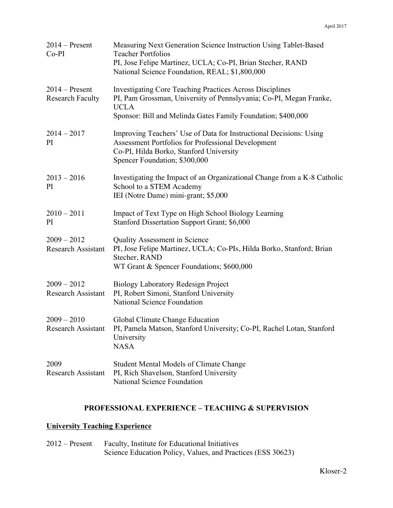| $2014 -$ Present<br>$Co-PI$                 | Measuring Next Generation Science Instruction Using Tablet-Based<br><b>Teacher Portfolios</b><br>PI, Jose Felipe Martinez, UCLA; Co-PI, Brian Stecher, RAND<br>National Science Foundation, REAL; \$1,800,000        |
|---------------------------------------------|----------------------------------------------------------------------------------------------------------------------------------------------------------------------------------------------------------------------|
| $2014$ – Present<br><b>Research Faculty</b> | <b>Investigating Core Teaching Practices Across Disciplines</b><br>PI, Pam Grossman, University of Pennslyvania; Co-PI, Megan Franke,<br><b>UCLA</b><br>Sponsor: Bill and Melinda Gates Family Foundation; \$400,000 |
| $2014 - 2017$<br>PI                         | Improving Teachers' Use of Data for Instructional Decisions: Using<br>Assessment Portfolios for Professional Development<br>Co-PI, Hilda Borko, Stanford University<br>Spencer Foundation; \$300,000                 |
| $2013 - 2016$<br>PI                         | Investigating the Impact of an Organizational Change from a K-8 Catholic<br>School to a STEM Academy<br>IEI (Notre Dame) mini-grant; \$5,000                                                                         |
| $2010 - 2011$<br>PI                         | Impact of Text Type on High School Biology Learning<br>Stanford Dissertation Support Grant; \$6,000                                                                                                                  |
| $2009 - 2012$<br><b>Research Assistant</b>  | <b>Quality Assessment in Science</b><br>PI, Jose Felipe Martinez, UCLA; Co-PIs, Hilda Borko, Stanford; Brian<br>Stecher, RAND<br>WT Grant & Spencer Foundations; \$600,000                                           |
| $2009 - 2012$<br><b>Research Assistant</b>  | <b>Biology Laboratory Redesign Project</b><br>PI, Robert Simoni, Stanford University<br>National Science Foundation                                                                                                  |
| $2009 - 2010$<br>Research Assistant         | Global Climate Change Education<br>PI, Pamela Matson, Stanford University; Co-PI, Rachel Lotan, Stanford<br>University<br><b>NASA</b>                                                                                |
| 2009<br><b>Research Assistant</b>           | <b>Student Mental Models of Climate Change</b><br>PI, Rich Shavelson, Stanford University<br>National Science Foundation                                                                                             |

### **PROFESSIONAL EXPERIENCE – TEACHING & SUPERVISION**

## **University Teaching Experience**

2012 – Present Faculty, Institute for Educational Initiatives Science Education Policy, Values, and Practices (ESS 30623)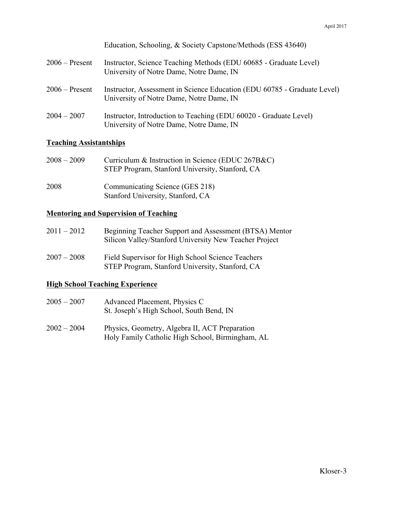|                  | Education, Schooling, & Society Capstone/Methods (ESS 43640)                                                         |
|------------------|----------------------------------------------------------------------------------------------------------------------|
| $2006$ – Present | Instructor, Science Teaching Methods (EDU 60685 - Graduate Level)<br>University of Notre Dame, Notre Dame, IN        |
| $2006$ – Present | Instructor, Assessment in Science Education (EDU 60785 - Graduate Level)<br>University of Notre Dame, Notre Dame, IN |
| $2004 - 2007$    | Instructor, Introduction to Teaching (EDU 60020 - Graduate Level)<br>University of Notre Dame, Notre Dame, IN        |

### **Teaching Assistantships**

| $2008 - 2009$ | Curriculum & Instruction in Science (EDUC 267B&C)<br>STEP Program, Stanford University, Stanford, CA |
|---------------|------------------------------------------------------------------------------------------------------|
| 2008          | Communicating Science (GES 218)<br>Stanford University, Stanford, CA                                 |

### **Mentoring and Supervision of Teaching**

| $2011 - 2012$ | Beginning Teacher Support and Assessment (BTSA) Mentor<br>Silicon Valley/Stanford University New Teacher Project |  |
|---------------|------------------------------------------------------------------------------------------------------------------|--|
| $2007 - 2008$ | Field Supervisor for High School Science Teachers                                                                |  |

STEP Program, Stanford University, Stanford, CA

### **High School Teaching Experience**

| $2005 - 2007$ | Advanced Placement, Physics C            |
|---------------|------------------------------------------|
|               | St. Joseph's High School, South Bend, IN |

2002 – 2004 Physics, Geometry, Algebra II, ACT Preparation Holy Family Catholic High School, Birmingham, AL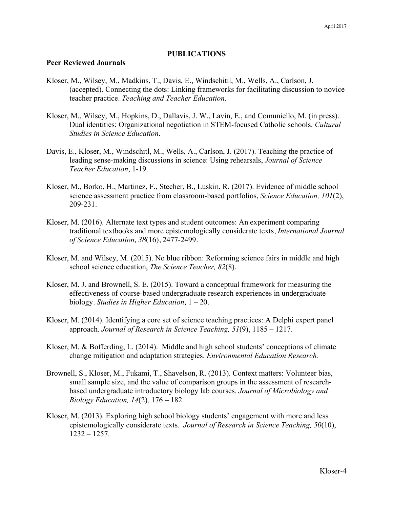### **PUBLICATIONS**

### **Peer Reviewed Journals**

- Kloser, M., Wilsey, M., Madkins, T., Davis, E., Windschitil, M., Wells, A., Carlson, J. (accepted). Connecting the dots: Linking frameworks for facilitating discussion to novice teacher practice. *Teaching and Teacher Education*.
- Kloser, M., Wilsey, M., Hopkins, D., Dallavis, J. W., Lavin, E., and Comuniello, M. (in press). Dual identities: Organizational negotiation in STEM-focused Catholic schools. *Cultural Studies in Science Education*.
- Davis, E., Kloser, M., Windschitl, M., Wells, A., Carlson, J. (2017). Teaching the practice of leading sense-making discussions in science: Using rehearsals, *Journal of Science Teacher Education*, 1-19.
- Kloser, M., Borko, H., Martinez, F., Stecher, B., Luskin, R. (2017). Evidence of middle school science assessment practice from classroom-based portfolios, *Science Education, 101*(2), 209-231.
- Kloser, M. (2016). Alternate text types and student outcomes: An experiment comparing traditional textbooks and more epistemologically considerate texts, *International Journal of Science Education, 38*(16), 2477-2499.
- Kloser, M. and Wilsey, M. (2015). No blue ribbon: Reforming science fairs in middle and high school science education, *The Science Teacher, 82*(8).
- Kloser, M. J. and Brownell, S. E. (2015). Toward a conceptual framework for measuring the effectiveness of course-based undergraduate research experiences in undergraduate biology. *Studies in Higher Education,* 1 – 20.
- Kloser, M. (2014). Identifying a core set of science teaching practices: A Delphi expert panel approach. *Journal of Research in Science Teaching, 51*(9), 1185 – 1217.
- Kloser, M. & Bofferding, L. (2014). Middle and high school students' conceptions of climate change mitigation and adaptation strategies. *Environmental Education Research.*
- Brownell, S., Kloser, M., Fukami, T., Shavelson, R. (2013). Context matters: Volunteer bias, small sample size, and the value of comparison groups in the assessment of researchbased undergraduate introductory biology lab courses. *Journal of Microbiology and Biology Education, 14*(2), 176 – 182.
- Kloser, M. (2013). Exploring high school biology students' engagement with more and less epistemologically considerate texts. *Journal of Research in Science Teaching, 50*(10), 1232 – 1257.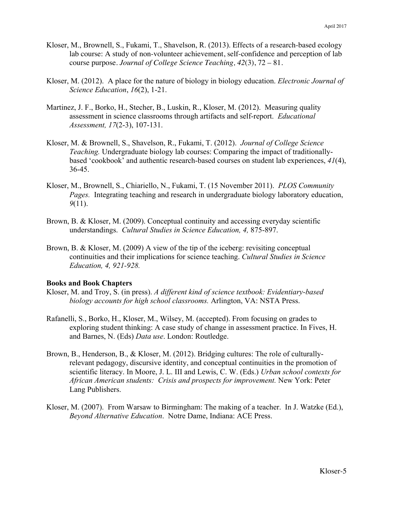- Kloser, M., Brownell, S., Fukami, T., Shavelson, R. (2013). Effects of a research-based ecology lab course: A study of non-volunteer achievement, self-confidence and perception of lab course purpose. *Journal of College Science Teaching, 42*(3), 72 – 81.
- Kloser, M. (2012). A place for the nature of biology in biology education. *Electronic Journal of Science Education*, *16*(2), 1-21.
- Martinez, J. F., Borko, H., Stecher, B., Luskin, R., Kloser, M. (2012). Measuring quality assessment in science classrooms through artifacts and self-report. *Educational Assessment, 17*(2-3), 107-131.
- Kloser, M. & Brownell, S., Shavelson, R., Fukami, T. (2012). *Journal of College Science Teaching.* Undergraduate biology lab courses: Comparing the impact of traditionallybased 'cookbook' and authentic research-based courses on student lab experiences, *41*(4), 36-45.
- Kloser, M., Brownell, S., Chiariello, N., Fukami, T. (15 November 2011). *PLOS Community Pages.* Integrating teaching and research in undergraduate biology laboratory education, *9*(11).
- Brown, B. & Kloser, M. (2009). Conceptual continuity and accessing everyday scientific understandings. *Cultural Studies in Science Education, 4,* 875-897.
- Brown, B. & Kloser, M. (2009) A view of the tip of the iceberg: revisiting conceptual continuities and their implications for science teaching. *Cultural Studies in Science Education, 4, 921-928.*

### **Books and Book Chapters**

- Kloser, M. and Troy, S. (in press). *A different kind of science textbook: Evidentiary-based biology accounts for high school classrooms.* Arlington, VA: NSTA Press.
- Rafanelli, S., Borko, H., Kloser, M., Wilsey, M. (accepted). From focusing on grades to exploring student thinking: A case study of change in assessment practice. In Fives, H. and Barnes, N. (Eds) *Data use*. London: Routledge.
- Brown, B., Henderson, B., & Kloser, M. (2012). Bridging cultures: The role of culturallyrelevant pedagogy, discursive identity, and conceptual continuities in the promotion of scientific literacy. In Moore, J. L. III and Lewis, C. W. (Eds.) *Urban school contexts for African American students: Crisis and prospects for improvement.* New York: Peter Lang Publishers.
- Kloser, M. (2007). From Warsaw to Birmingham: The making of a teacher. In J. Watzke (Ed.), *Beyond Alternative Education*. Notre Dame, Indiana: ACE Press.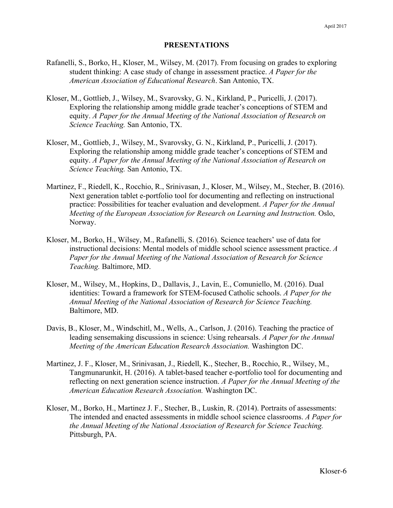### **PRESENTATIONS**

- Rafanelli, S., Borko, H., Kloser, M., Wilsey, M. (2017). From focusing on grades to exploring student thinking: A case study of change in assessment practice. *A Paper for the American Association of Educational Research*. San Antonio, TX.
- Kloser, M., Gottlieb, J., Wilsey, M., Svarovsky, G. N., Kirkland, P., Puricelli, J. (2017). Exploring the relationship among middle grade teacher's conceptions of STEM and equity. *A Paper for the Annual Meeting of the National Association of Research on Science Teaching.* San Antonio, TX.
- Kloser, M., Gottlieb, J., Wilsey, M., Svarovsky, G. N., Kirkland, P., Puricelli, J. (2017). Exploring the relationship among middle grade teacher's conceptions of STEM and equity. *A Paper for the Annual Meeting of the National Association of Research on Science Teaching.* San Antonio, TX.
- Martinez, F., Riedell, K., Rocchio, R., Srinivasan, J., Kloser, M., Wilsey, M., Stecher, B. (2016). Next generation tablet e-portfolio tool for documenting and reflecting on instructional practice: Possibilities for teacher evaluation and development. *A Paper for the Annual Meeting of the European Association for Research on Learning and Instruction.* Oslo, Norway.
- Kloser, M., Borko, H., Wilsey, M., Rafanelli, S. (2016). Science teachers' use of data for instructional decisions: Mental models of middle school science assessment practice. *A Paper for the Annual Meeting of the National Association of Research for Science Teaching.* Baltimore, MD.
- Kloser, M., Wilsey, M., Hopkins, D., Dallavis, J., Lavin, E., Comuniello, M. (2016). Dual identities: Toward a framework for STEM-focused Catholic schools. *A Paper for the Annual Meeting of the National Association of Research for Science Teaching.* Baltimore, MD.
- Davis, B., Kloser, M., Windschitl, M., Wells, A., Carlson, J. (2016). Teaching the practice of leading sensemaking discussions in science: Using rehearsals. *A Paper for the Annual Meeting of the American Education Research Association.* Washington DC.
- Martinez, J. F., Kloser, M., Srinivasan, J., Riedell, K., Stecher, B., Rocchio, R., Wilsey, M., Tangmunarunkit, H. (2016). A tablet-based teacher e-portfolio tool for documenting and reflecting on next generation science instruction. *A Paper for the Annual Meeting of the American Education Research Association.* Washington DC.
- Kloser, M., Borko, H., Martinez J. F., Stecher, B., Luskin, R. (2014). Portraits of assessments: The intended and enacted assessments in middle school science classrooms. *A Paper for the Annual Meeting of the National Association of Research for Science Teaching.* Pittsburgh, PA.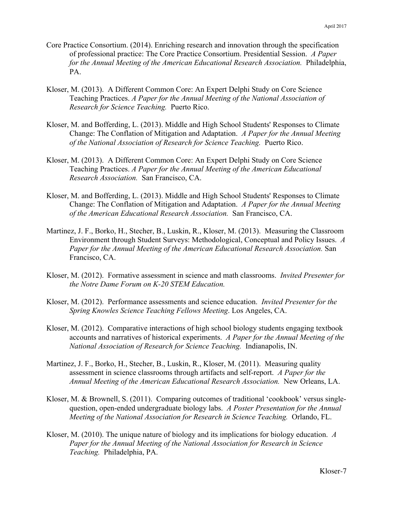- Core Practice Consortium. (2014). Enriching research and innovation through the specification of professional practice: The Core Practice Consortium. Presidential Session. *A Paper for the Annual Meeting of the American Educational Research Association.* Philadelphia, PA.
- Kloser, M. (2013). A Different Common Core: An Expert Delphi Study on Core Science Teaching Practices. *A Paper for the Annual Meeting of the National Association of Research for Science Teaching.* Puerto Rico.
- Kloser, M. and Bofferding, L. (2013). Middle and High School Students' Responses to Climate Change: The Conflation of Mitigation and Adaptation. *A Paper for the Annual Meeting of the National Association of Research for Science Teaching.* Puerto Rico.
- Kloser, M. (2013). A Different Common Core: An Expert Delphi Study on Core Science Teaching Practices. *A Paper for the Annual Meeting of the American Educational Research Association.* San Francisco, CA.
- Kloser, M. and Bofferding, L. (2013). Middle and High School Students' Responses to Climate Change: The Conflation of Mitigation and Adaptation. *A Paper for the Annual Meeting of the American Educational Research Association.* San Francisco, CA.
- Martinez, J. F., Borko, H., Stecher, B., Luskin, R., Kloser, M. (2013). Measuring the Classroom Environment through Student Surveys: Methodological, Conceptual and Policy Issues. *A Paper for the Annual Meeting of the American Educational Research Association.* San Francisco, CA.
- Kloser, M. (2012). Formative assessment in science and math classrooms. *Invited Presenter for the Notre Dame Forum on K-20 STEM Education.*
- Kloser, M. (2012). Performance assessments and science education. *Invited Presenter for the Spring Knowles Science Teaching Fellows Meeting*. Los Angeles, CA.
- Kloser, M. (2012). Comparative interactions of high school biology students engaging textbook accounts and narratives of historical experiments. *A Paper for the Annual Meeting of the National Association of Research for Science Teaching.* Indianapolis, IN.
- Martinez, J. F., Borko, H., Stecher, B., Luskin, R., Kloser, M. (2011). Measuring quality assessment in science classrooms through artifacts and self-report. *A Paper for the Annual Meeting of the American Educational Research Association.* New Orleans, LA.
- Kloser, M. & Brownell, S. (2011). Comparing outcomes of traditional 'cookbook' versus singlequestion, open-ended undergraduate biology labs. *A Poster Presentation for the Annual Meeting of the National Association for Research in Science Teaching.* Orlando, FL.
- Kloser, M. (2010). The unique nature of biology and its implications for biology education. *A Paper for the Annual Meeting of the National Association for Research in Science Teaching.* Philadelphia, PA.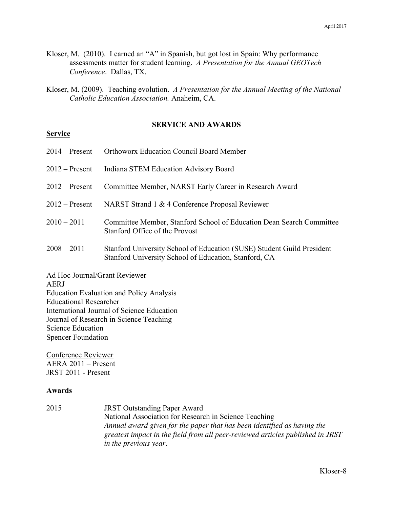- Kloser, M. (2010). I earned an "A" in Spanish, but got lost in Spain: Why performance assessments matter for student learning. *A Presentation for the Annual GEOTech Conference*. Dallas, TX.
- Kloser, M. (2009). Teaching evolution. *A Presentation for the Annual Meeting of the National Catholic Education Association.* Anaheim, CA.

### **SERVICE AND AWARDS**

# **Service**

- 2014 Present Orthoworx Education Council Board Member
- 2012 Present Indiana STEM Education Advisory Board
- 2012 Present Committee Member, NARST Early Career in Research Award
- 2012 Present NARST Strand 1 & 4 Conference Proposal Reviewer
- 2010 2011 Committee Member, Stanford School of Education Dean Search Committee Stanford Office of the Provost
- 2008 2011 Stanford University School of Education (SUSE) Student Guild President Stanford University School of Education, Stanford, CA

Ad Hoc Journal/Grant Reviewer

#### AERJ

Education Evaluation and Policy Analysis Educational Researcher International Journal of Science Education Journal of Research in Science Teaching Science Education Spencer Foundation

Conference Reviewer AERA 2011 – Present JRST 2011 - Present

#### **Awards**

2015 JRST Outstanding Paper Award National Association for Research in Science Teaching *Annual award given for the paper that has been identified as having the greatest impact in the field from all peer-reviewed articles published in JRST in the previous year.*